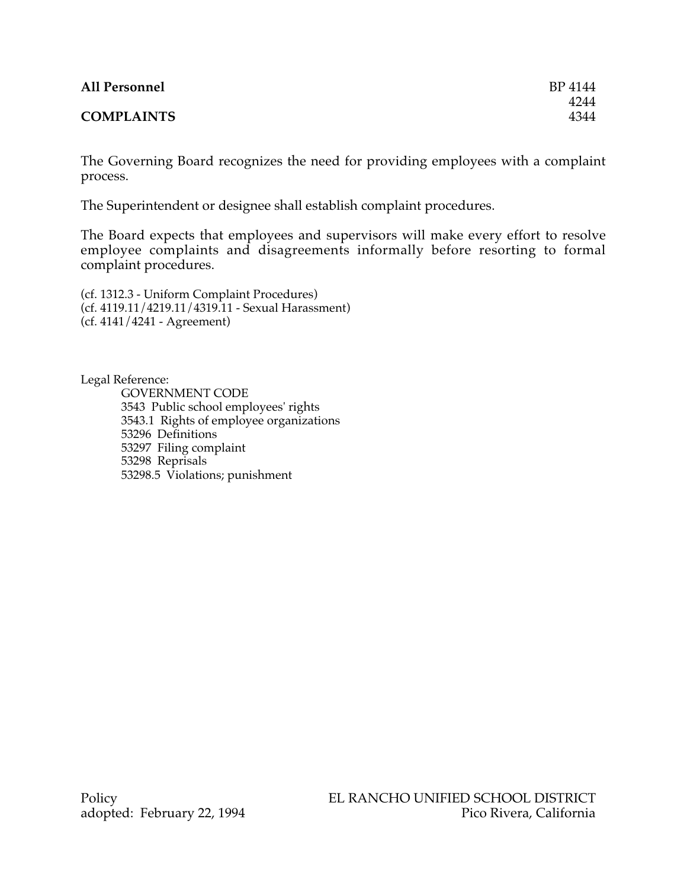| <b>All Personnel</b> | BP 4144 |
|----------------------|---------|
|                      | 4244    |
| <b>COMPLAINTS</b>    | 4344    |

The Governing Board recognizes the need for providing employees with a complaint process.

The Superintendent or designee shall establish complaint procedures.

The Board expects that employees and supervisors will make every effort to resolve employee complaints and disagreements informally before resorting to formal complaint procedures.

(cf. 1312.3 - Uniform Complaint Procedures) (cf. 4119.11/4219.11/4319.11 - Sexual Harassment) (cf. 4141/4241 - Agreement)

Legal Reference:

GOVERNMENT CODE 3543 Public school employees' rights 3543.1 Rights of employee organizations 53296 Definitions 53297 Filing complaint 53298 Reprisals 53298.5 Violations; punishment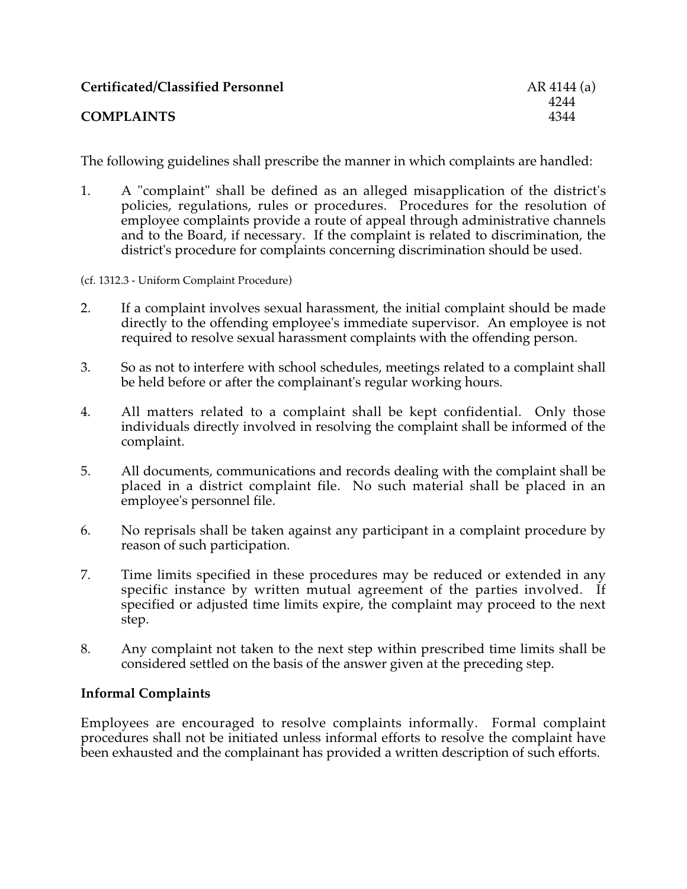| <b>Certificated/Classified Personnel</b> | AR 4144 |
|------------------------------------------|---------|
|                                          | 4244    |
| <b>COMPLAINTS</b>                        | 4344    |

The following guidelines shall prescribe the manner in which complaints are handled:

**Certificated/Classified Personnel** AR 4144 (a) 4244<br>4344

- 1. A "complaint" shall be defined as an alleged misapplication of the district's policies, regulations, rules or procedures. Procedures for the resolution of employee complaints provide a route of appeal through administrative channels and to the Board, if necessary. If the complaint is related to discrimination, the district's procedure for complaints concerning discrimination should be used.
- (cf. 1312.3 Uniform Complaint Procedure)
- 2. If a complaint involves sexual harassment, the initial complaint should be made directly to the offending employee's immediate supervisor. An employee is not required to resolve sexual harassment complaints with the offending person.
- 3. So as not to interfere with school schedules, meetings related to a complaint shall be held before or after the complainant's regular working hours.
- 4. All matters related to a complaint shall be kept confidential. Only those individuals directly involved in resolving the complaint shall be informed of the complaint.
- 5. All documents, communications and records dealing with the complaint shall be placed in a district complaint file. No such material shall be placed in an employee's personnel file.
- 6. No reprisals shall be taken against any participant in a complaint procedure by reason of such participation.
- 7. Time limits specified in these procedures may be reduced or extended in any specific instance by written mutual agreement of the parties involved. If specified or adjusted time limits expire, the complaint may proceed to the next step.
- 8. Any complaint not taken to the next step within prescribed time limits shall be considered settled on the basis of the answer given at the preceding step.

### **Informal Complaints**

Employees are encouraged to resolve complaints informally. Formal complaint procedures shall not be initiated unless informal efforts to resolve the complaint have been exhausted and the complainant has provided a written description of such efforts.